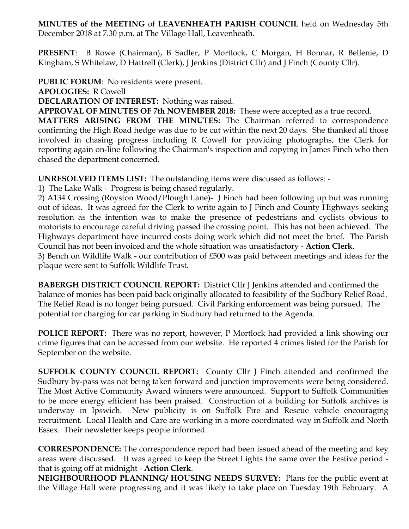**MINUTES of the MEETING** of **LEAVENHEATH PARISH COUNCIL** held on Wednesday 5th December 2018 at 7.30 p.m. at The Village Hall, Leavenheath.

**PRESENT**: B Rowe (Chairman), B Sadler, P Mortlock, C Morgan, H Bonnar, R Bellenie, D Kingham, S Whitelaw, D Hattrell (Clerk), J Jenkins (District Cllr) and J Finch (County Cllr).

**PUBLIC FORUM**: No residents were present.

**APOLOGIES:** R Cowell

**DECLARATION OF INTEREST:** Nothing was raised.

**APPROVAL OF MINUTES OF 7th NOVEMBER 2018:** These were accepted as a true record.

**MATTERS ARISING FROM THE MINUTES:** The Chairman referred to correspondence confirming the High Road hedge was due to be cut within the next 20 days. She thanked all those involved in chasing progress including R Cowell for providing photographs, the Clerk for reporting again on-line following the Chairman's inspection and copying in James Finch who then chased the department concerned.

**UNRESOLVED ITEMS LIST:** The outstanding items were discussed as follows: -

1) The Lake Walk - Progress is being chased regularly.

2) A134 Crossing (Royston Wood/Plough Lane)- J Finch had been following up but was running out of ideas. It was agreed for the Clerk to write again to J Finch and County Highways seeking resolution as the intention was to make the presence of pedestrians and cyclists obvious to motorists to encourage careful driving passed the crossing point. This has not been achieved. The Highways department have incurred costs doing work which did not meet the brief. The Parish Council has not been invoiced and the whole situation was unsatisfactory - **Action Clerk**.

3) Bench on Wildlife Walk - our contribution of £500 was paid between meetings and ideas for the plaque were sent to Suffolk Wildlife Trust.

**BABERGH DISTRICT COUNCIL REPORT:** District Cllr J Jenkins attended and confirmed the balance of monies has been paid back originally allocated to feasibility of the Sudbury Relief Road. The Relief Road is no longer being pursued. Civil Parking enforcement was being pursued. The potential for charging for car parking in Sudbury had returned to the Agenda.

**POLICE REPORT**: There was no report, however, P Mortlock had provided a link showing our crime figures that can be accessed from our website. He reported 4 crimes listed for the Parish for September on the website.

**SUFFOLK COUNTY COUNCIL REPORT:** County Cllr J Finch attended and confirmed the Sudbury by-pass was not being taken forward and junction improvements were being considered. The Most Active Community Award winners were announced. Support to Suffolk Communities to be more energy efficient has been praised. Construction of a building for Suffolk archives is underway in Ipswich. New publicity is on Suffolk Fire and Rescue vehicle encouraging recruitment. Local Health and Care are working in a more coordinated way in Suffolk and North Essex. Their newsletter keeps people informed.

**CORRESPONDENCE:** The correspondence report had been issued ahead of the meeting and key areas were discussed. It was agreed to keep the Street Lights the same over the Festive period that is going off at midnight - **Action Clerk**.

**NEIGHBOURHOOD PLANNING/ HOUSING NEEDS SURVEY:** Plans for the public event at the Village Hall were progressing and it was likely to take place on Tuesday 19th February. A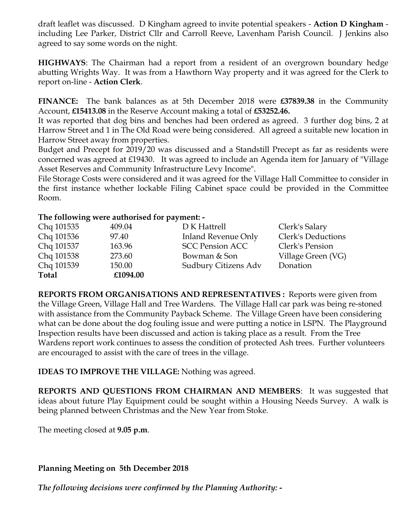draft leaflet was discussed. D Kingham agreed to invite potential speakers - **Action D Kingham** including Lee Parker, District Cllr and Carroll Reeve, Lavenham Parish Council. J Jenkins also agreed to say some words on the night.

**HIGHWAYS**: The Chairman had a report from a resident of an overgrown boundary hedge abutting Wrights Way. It was from a Hawthorn Way property and it was agreed for the Clerk to report on-line - **Action Clerk**.

**FINANCE:** The bank balances as at 5th December 2018 were **£37839.38** in the Community Account, **£15413.08** in the Reserve Account making a total of **£53252.46.**

It was reported that dog bins and benches had been ordered as agreed. 3 further dog bins, 2 at Harrow Street and 1 in The Old Road were being considered. All agreed a suitable new location in Harrow Street away from properties.

Budget and Precept for 2019/20 was discussed and a Standstill Precept as far as residents were concerned was agreed at £19430. It was agreed to include an Agenda item for January of "Village Asset Reserves and Community Infrastructure Levy Income".

File Storage Costs were considered and it was agreed for the Village Hall Committee to consider in the first instance whether lockable Filing Cabinet space could be provided in the Committee Room.

## **The following were authorised for payment: -**

| Chq 101535   | 409.04   | D K Hattrell               | Clerk's Salary     |
|--------------|----------|----------------------------|--------------------|
| Chq 101536   | 97.40    | <b>Inland Revenue Only</b> | Clerk's Deductions |
| Chq 101537   | 163.96   | <b>SCC Pension ACC</b>     | Clerk's Pension    |
| Chq 101538   | 273.60   | Bowman & Son               | Village Green (VG) |
| Chq 101539   | 150.00   | Sudbury Citizens Adv       | Donation           |
| <b>Total</b> | £1094.00 |                            |                    |

**REPORTS FROM ORGANISATIONS AND REPRESENTATIVES :** Reports were given from the Village Green, Village Hall and Tree Wardens. The Village Hall car park was being re-stoned with assistance from the Community Payback Scheme. The Village Green have been considering what can be done about the dog fouling issue and were putting a notice in LSPN. The Playground Inspection results have been discussed and action is taking place as a result. From the Tree Wardens report work continues to assess the condition of protected Ash trees. Further volunteers are encouraged to assist with the care of trees in the village.

**IDEAS TO IMPROVE THE VILLAGE:** Nothing was agreed.

**REPORTS AND QUESTIONS FROM CHAIRMAN AND MEMBERS**: It was suggested that ideas about future Play Equipment could be sought within a Housing Needs Survey. A walk is being planned between Christmas and the New Year from Stoke.

The meeting closed at **9.05 p.m**.

## **Planning Meeting on 5th December 2018**

*The following decisions were confirmed by the Planning Authority: -*